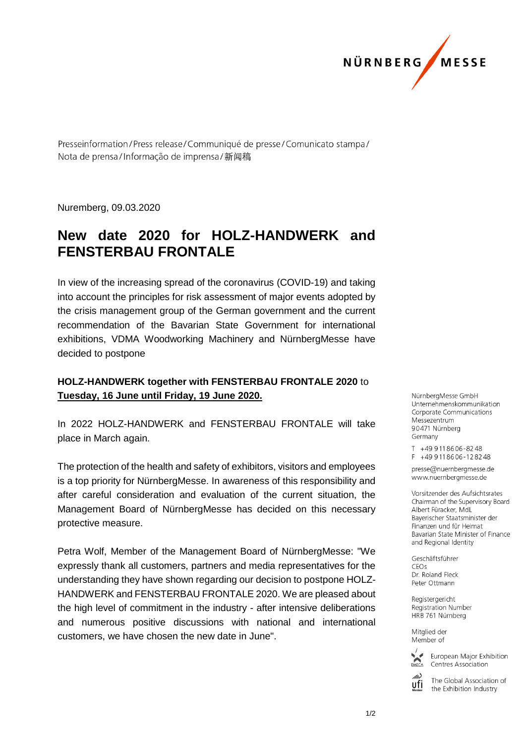

Presseinformation/Press release/Communiqué de presse/Comunicato stampa/ Nota de prensa/Informação de imprensa/新闻稿

Nuremberg, 09.03.2020

## **New date 2020 for HOLZ-HANDWERK and FENSTERBAU FRONTALE**

In view of the increasing spread of the coronavirus (COVID-19) and taking into account the principles for risk assessment of major events adopted by the crisis management group of the German government and the current recommendation of the Bavarian State Government for international exhibitions, VDMA Woodworking Machinery and NürnbergMesse have decided to postpone

## **HOLZ-HANDWERK together with FENSTERBAU FRONTALE 2020** to **Tuesday, 16 June until Friday, 19 June 2020.**

In 2022 HOLZ-HANDWERK and FENSTERBAU FRONTALE will take place in March again.

The protection of the health and safety of exhibitors, visitors and employees is a top priority for NürnbergMesse. In awareness of this responsibility and after careful consideration and evaluation of the current situation, the Management Board of NürnbergMesse has decided on this necessary protective measure.

Petra Wolf, Member of the Management Board of NürnbergMesse: "We expressly thank all customers, partners and media representatives for the understanding they have shown regarding our decision to postpone HOLZ-HANDWERK and FENSTERBAU FRONTALE 2020. We are pleased about the high level of commitment in the industry - after intensive deliberations and numerous positive discussions with national and international customers, we have chosen the new date in June".

NürnbergMesse GmbH Unternehmenskommunikation Corporate Communications Messezentrum 90471 Nürnberg Germany

T +49 911 86 06 - 82 48  $F + 499118606 - 128248$ 

presse@nuernbergmesse.de www.nuernbergmesse.de

Vorsitzender des Aufsichtsrates Chairman of the Supervisory Board Albert Füracker, MdL Bayerischer Staatsminister der Finanzen und für Heimat Bavarian State Minister of Finance and Regional Identity

Geschäftsführer  $CFOs$ Dr. Roland Fleck Peter Ottmann

Registergericht Registration Number HRB 761 Nürnberg

Mitglied der Member of



European Major Exhibition Centres Association

The Global Association of ufi the Exhibition Industry